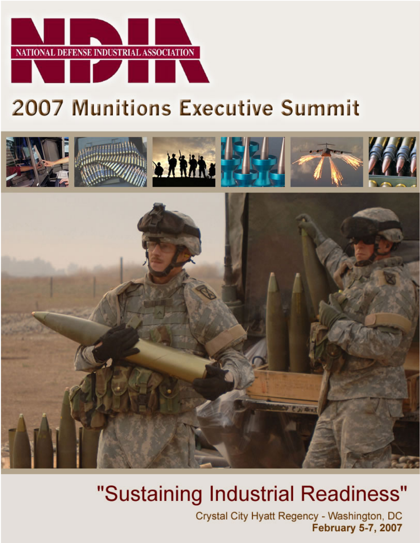

# **2007 Munitions Executive Summit**



# "Sustaining Industrial Readiness"

Crystal City Hyatt Regency - Washington, DC **February 5-7, 2007**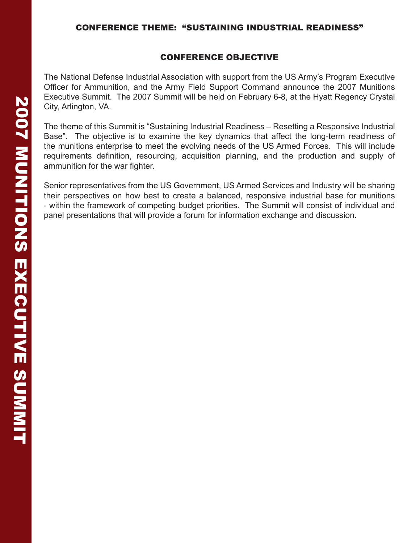#### CONFERENCE OBJECTIVE

The National Defense Industrial Association with support from the US Army's Program Executive Officer for Ammunition, and the Army Field Support Command announce the 2007 Munitions Executive Summit. The 2007 Summit will be held on February 6-8, at the Hyatt Regency Crystal City, Arlington, VA.

The theme of this Summit is "Sustaining Industrial Readiness – Resetting a Responsive Industrial Base". The objective is to examine the key dynamics that affect the long-term readiness of the munitions enterprise to meet the evolving needs of the US Armed Forces. This will include requirements definition, resourcing, acquisition planning, and the production and supply of ammunition for the war fighter.

Senior representatives from the US Government, US Armed Services and Industry will be sharing their perspectives on how best to create a balanced, responsive industrial base for munitions - within the framework of competing budget priorities. The Summit will consist of individual and panel presentations that will provide a forum for information exchange and discussion.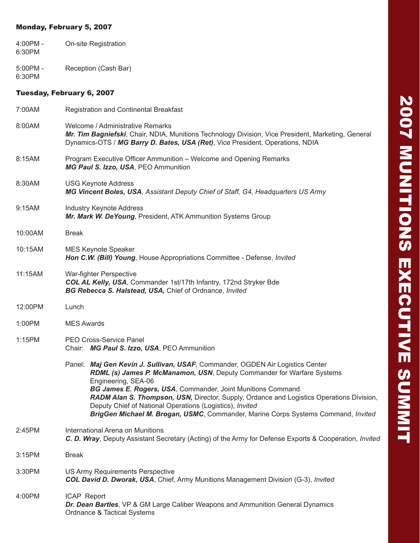#### Monday, February 5, 2007

- 4:00PM On-site Registration 6:30PM
- 5:00PM Reception (Cash Bar) 6:30PM

#### Tuesday, February 6, 2007

| 7:00AM  | <b>Registration and Continental Breakfast</b>                                                                                                                                                                                                                                                                                                                                                                                                                                              |  |  |
|---------|--------------------------------------------------------------------------------------------------------------------------------------------------------------------------------------------------------------------------------------------------------------------------------------------------------------------------------------------------------------------------------------------------------------------------------------------------------------------------------------------|--|--|
| 8:00AM  | Welcome / Administrative Remarks<br>Mr. Tim Bagniefski, Chair, NDIA, Munitions Technology Division, Vice President, Marketing, General<br>Dynamics-OTS / MG Barry D. Bates, USA (Ret), Vice President, Operations, NDIA                                                                                                                                                                                                                                                                    |  |  |
| 8:15AM  | Program Executive Officer Ammunition - Welcome and Opening Remarks<br>MG Paul S. Izzo, USA, PEO Ammunition                                                                                                                                                                                                                                                                                                                                                                                 |  |  |
| 8:30AM  | <b>USG Keynote Address</b><br>MG Vincent Boles, USA, Assistant Deputy Chief of Staff, G4, Headquarters US Army                                                                                                                                                                                                                                                                                                                                                                             |  |  |
| 9:15AM  | <b>Industry Keynote Address</b><br>Mr. Mark W. DeYoung, President, ATK Ammunition Systems Group                                                                                                                                                                                                                                                                                                                                                                                            |  |  |
| 10:00AM | <b>Break</b>                                                                                                                                                                                                                                                                                                                                                                                                                                                                               |  |  |
| 10:15AM | <b>MES Keynote Speaker</b><br>Hon C.W. (Bill) Young, House Appropriations Committee - Defense, Invited                                                                                                                                                                                                                                                                                                                                                                                     |  |  |
| 11:15AM | War-fighter Perspective<br>COL AL Kelly, USA, Commander 1st/17th Infantry, 172nd Stryker Bde<br>BG Rebecca S. Halstead, USA, Chief of Ordnance, Invited                                                                                                                                                                                                                                                                                                                                    |  |  |
| 12:00PM | Lunch                                                                                                                                                                                                                                                                                                                                                                                                                                                                                      |  |  |
| 1:00PM  | <b>MES Awards</b>                                                                                                                                                                                                                                                                                                                                                                                                                                                                          |  |  |
| 1:15PM  | PEO Cross-Service Panel<br>Chair: MG Paul S. Izzo, USA, PEO Ammunition                                                                                                                                                                                                                                                                                                                                                                                                                     |  |  |
|         | Panel: Maj Gen Kevin J. Sullivan, USAF, Commander, OGDEN Air Logistics Center<br>RDML (s) James P. McManamon, USN, Deputy Commander for Warfare Systems<br>Engineering, SEA-06<br>BG James E. Rogers, USA, Commander, Joint Munitions Command<br>RADM Alan S. Thompson, USN, Director, Supply, Ordance and Logistics Operations Division,<br>Deputy Chief of National Operations (Logistics), Invited<br>BrigGen Michael M. Brogan, USMC, Commander, Marine Corps Systems Command, Invited |  |  |
| 2:45PM  | International Arena on Munitions<br>C. D. Wray, Deputy Assistant Secretary (Acting) of the Army for Defense Exports & Cooperation, <i>Invited</i>                                                                                                                                                                                                                                                                                                                                          |  |  |
| 3:15PM  | <b>Break</b>                                                                                                                                                                                                                                                                                                                                                                                                                                                                               |  |  |
| 3:30PM  | US Army Requirements Perspective<br>COL David D. Dworak, USA, Chief, Army Munitions Management Division (G-3), Invited                                                                                                                                                                                                                                                                                                                                                                     |  |  |
| 4:00PM  | ICAP Report<br>Dr. Dean Bartles, VP & GM Large Caliber Weapons and Ammunition General Dynamics<br><b>Ordnance &amp; Tactical Systems</b>                                                                                                                                                                                                                                                                                                                                                   |  |  |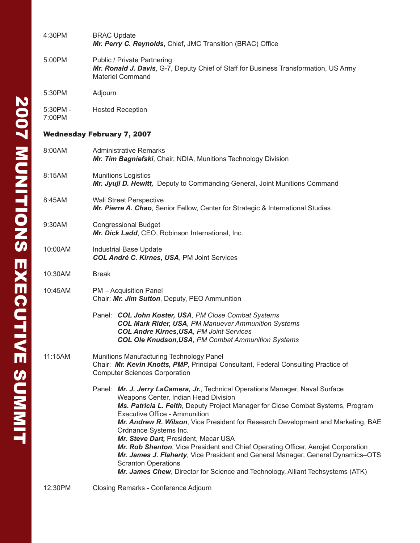| 4:30PM                            | <b>BRAC Update</b><br>Mr. Perry C. Reynolds, Chief, JMC Transition (BRAC) Office                                                                                                                                                                                                                                                                                                                                                                                                                                                                                                                                                                                                              |  |  |
|-----------------------------------|-----------------------------------------------------------------------------------------------------------------------------------------------------------------------------------------------------------------------------------------------------------------------------------------------------------------------------------------------------------------------------------------------------------------------------------------------------------------------------------------------------------------------------------------------------------------------------------------------------------------------------------------------------------------------------------------------|--|--|
| 5:00PM                            | <b>Public / Private Partnering</b><br>Mr. Ronald J. Davis, G-7, Deputy Chief of Staff for Business Transformation, US Army<br><b>Materiel Command</b>                                                                                                                                                                                                                                                                                                                                                                                                                                                                                                                                         |  |  |
| 5:30PM                            | Adjourn                                                                                                                                                                                                                                                                                                                                                                                                                                                                                                                                                                                                                                                                                       |  |  |
| 5:30PM -<br>7:00PM                | <b>Hosted Reception</b>                                                                                                                                                                                                                                                                                                                                                                                                                                                                                                                                                                                                                                                                       |  |  |
| <b>Wednesday February 7, 2007</b> |                                                                                                                                                                                                                                                                                                                                                                                                                                                                                                                                                                                                                                                                                               |  |  |
| 8:00AM                            | <b>Administrative Remarks</b><br>Mr. Tim Bagniefski, Chair, NDIA, Munitions Technology Division                                                                                                                                                                                                                                                                                                                                                                                                                                                                                                                                                                                               |  |  |
| 8:15AM                            | <b>Munitions Logistics</b><br>Mr. Jyuji D. Hewitt, Deputy to Commanding General, Joint Munitions Command                                                                                                                                                                                                                                                                                                                                                                                                                                                                                                                                                                                      |  |  |
| 8:45AM                            | <b>Wall Street Perspective</b><br>Mr. Pierre A. Chao, Senior Fellow, Center for Strategic & International Studies                                                                                                                                                                                                                                                                                                                                                                                                                                                                                                                                                                             |  |  |
| 9:30AM                            | <b>Congressional Budget</b><br>Mr. Dick Ladd, CEO, Robinson International, Inc.                                                                                                                                                                                                                                                                                                                                                                                                                                                                                                                                                                                                               |  |  |
| 10:00AM                           | Industrial Base Update<br>COL André C. Kirnes, USA, PM Joint Services                                                                                                                                                                                                                                                                                                                                                                                                                                                                                                                                                                                                                         |  |  |
| 10:30AM                           | <b>Break</b>                                                                                                                                                                                                                                                                                                                                                                                                                                                                                                                                                                                                                                                                                  |  |  |
| 10:45AM                           | PM - Acquisition Panel<br>Chair: Mr. Jim Sutton, Deputy, PEO Ammunition                                                                                                                                                                                                                                                                                                                                                                                                                                                                                                                                                                                                                       |  |  |
|                                   | Panel: COL John Koster, USA, PM Close Combat Systems<br><b>COL Mark Rider, USA, PM Manuever Ammunition Systems</b><br><b>COL Andre Kirnes, USA, PM Joint Services</b><br><b>COL Ole Knudson, USA, PM Combat Ammunition Systems</b>                                                                                                                                                                                                                                                                                                                                                                                                                                                            |  |  |
| 11:15AM                           | Munitions Manufacturing Technology Panel<br>Chair: Mr. Kevin Knotts, PMP, Principal Consultant, Federal Consulting Practice of<br><b>Computer Sciences Corporation</b>                                                                                                                                                                                                                                                                                                                                                                                                                                                                                                                        |  |  |
|                                   | Panel: Mr. J. Jerry LaCamera, Jr., Technical Operations Manager, Naval Surface<br>Weapons Center, Indian Head Division<br>Ms. Patricia L. Felth, Deputy Project Manager for Close Combat Systems, Program<br><b>Executive Office - Ammunition</b><br>Mr. Andrew R. Wilson, Vice President for Research Development and Marketing, BAE<br>Ordnance Systems Inc.<br>Mr. Steve Dart, President, Mecar USA<br>Mr. Rob Shenton, Vice President and Chief Operating Officer, Aerojet Corporation<br>Mr. James J. Flaherty, Vice President and General Manager, General Dynamics-OTS<br><b>Scranton Operations</b><br>Mr. James Chew, Director for Science and Technology, Alliant Techsystems (ATK) |  |  |
| 12:30PM                           | Closing Remarks - Conference Adjourn                                                                                                                                                                                                                                                                                                                                                                                                                                                                                                                                                                                                                                                          |  |  |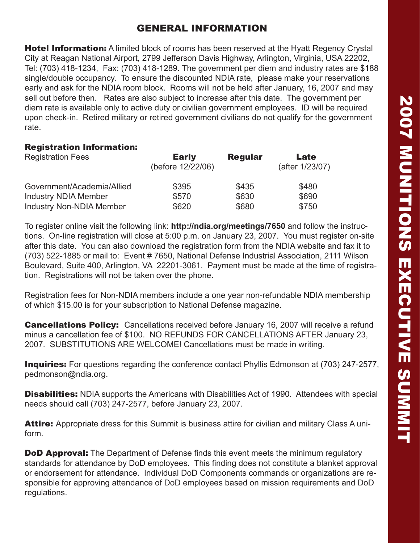### GENERAL INFORMATION

**Hotel Information:** A limited block of rooms has been reserved at the Hyatt Regency Crystal City at Reagan National Airport, 2799 Jefferson Davis Highway, Arlington, Virginia, USA 22202, Tel: (703) 418-1234, Fax: (703) 418-1289. The government per diem and industry rates are \$188 single/double occupancy. To ensure the discounted NDIA rate, please make your reservations early and ask for the NDIA room block. Rooms will not be held after January, 16, 2007 and may sell out before then. Rates are also subject to increase after this date. The government per diem rate is available only to active duty or civilian government employees. ID will be required upon check-in. Retired military or retired government civilians do not qualify for the government rate.

#### Registration Information:

| <b>Registration Fees</b>        | <b>Early</b><br>(before 12/22/06) | <b>Regular</b> | Late<br>(after 1/23/07) |  |
|---------------------------------|-----------------------------------|----------------|-------------------------|--|
| Government/Academia/Allied      | \$395                             | \$435          | \$480                   |  |
| <b>Industry NDIA Member</b>     | \$570                             | \$630          | \$690                   |  |
| <b>Industry Non-NDIA Member</b> | \$620                             | \$680          | \$750                   |  |

To register online visit the following link: **http://ndia.org/meetings/7650** and follow the instructions. On-line registration will close at 5:00 p.m. on January 23, 2007. You must register on-site after this date. You can also download the registration form from the NDIA website and fax it to (703) 522-1885 or mail to: Event # 7650, National Defense Industrial Association, 2111 Wilson Boulevard, Suite 400, Arlington, VA 22201-3061. Payment must be made at the time of registration. Registrations will not be taken over the phone.

Registration fees for Non-NDIA members include a one year non-refundable NDIA membership of which \$15.00 is for your subscription to National Defense magazine.

Cancellations Policy: Cancellations received before January 16, 2007 will receive a refund minus a cancellation fee of \$100. NO REFUNDS FOR CANCELLATIONS AFTER January 23, 2007. SUBSTITUTIONS ARE WELCOME! Cancellations must be made in writing.

**Inquiries:** For questions regarding the conference contact Phyllis Edmonson at (703) 247-2577, pedmonson@ndia.org.

**Disabilities:** NDIA supports the Americans with Disabilities Act of 1990. Attendees with special needs should call (703) 247-2577, before January 23, 2007.

Attire: Appropriate dress for this Summit is business attire for civilian and military Class A uniform.

**DoD Approval:** The Department of Defense finds this event meets the minimum regulatory standards for attendance by DoD employees. This finding does not constitute a blanket approval or endorsement for attendance. Individual DoD Components commands or organizations are responsible for approving attendance of DoD employees based on mission requirements and DoD regulations.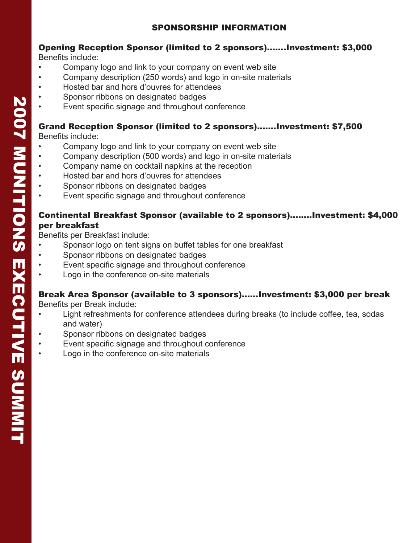### SPONSORSHIP INFORMATION

#### Opening Reception Sponsor (limited to 2 sponsors)…….Investment: \$3,000 Benefits include:

- Company logo and link to your company on event web site
- Company description (250 words) and logo in on-site materials
- Hosted bar and hors d'ouvres for attendees
- Sponsor ribbons on designated badges
- Event specific signage and throughout conference

# Grand Reception Sponsor (limited to 2 sponsors).......Investment: \$7,500

Benefits include:

- Company logo and link to your company on event web site
- Company description (500 words) and logo in on-site materials
- Company name on cocktail napkins at the reception
- Hosted bar and hors d'ouvres for attendees
- Sponsor ribbons on designated badges
- Event specific signage and throughout conference

#### Continental Breakfast Sponsor (available to 2 sponsors)........Investment: \$4,000 per breakfast

Benefits per Breakfast include:

- Sponsor logo on tent signs on buffet tables for one breakfast
- Sponsor ribbons on designated badges
- Event specific signage and throughout conference
- Logo in the conference on-site materials

# Break Area Sponsor (available to 3 sponsors)......Investment: \$3,000 per break

Benefits per Break include:

- Light refreshments for conference attendees during breaks (to include coffee, tea, sodas and water)
- Sponsor ribbons on designated badges
- Event specific signage and throughout conference
- Logo in the conference on-site materials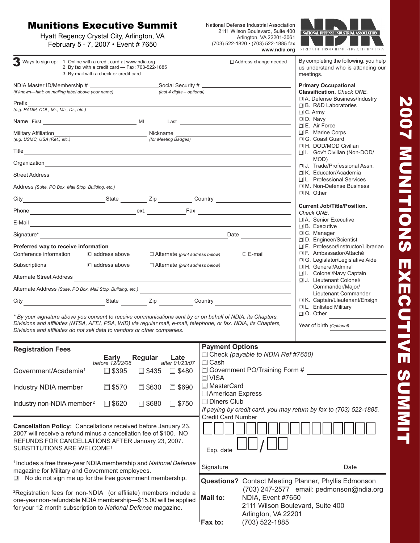## Munitions Executive Summit

Hyatt Regency Crystal City, Arlington, VA February 5 - 7, 2007 • Event # 7650

National Defense Industrial Association 2111 Wilson Boulevard, Suite 400 Arlington, VA 22201-3061 (703) 522-1820 • (703) 522-1885 fax **www.ndia.org**



| 3 Ways to sign up: 1. Online with a credit card at www.ndia.org<br>2. By fax with a credit card - Fax: 703-522-1885<br>3. By mail with a check or credit card                                                                                                                                                                                              | By completing the following, you help<br>□ Address change needed<br>us understand who is attending our<br>meetings.            |  |  |  |  |  |
|------------------------------------------------------------------------------------------------------------------------------------------------------------------------------------------------------------------------------------------------------------------------------------------------------------------------------------------------------------|--------------------------------------------------------------------------------------------------------------------------------|--|--|--|--|--|
| (if known-hint: on mailing label above your name)<br>(last 4 digits - optional)                                                                                                                                                                                                                                                                            | <b>Primary Occupational</b><br><b>Classification.</b> Check ONE.                                                               |  |  |  |  |  |
| Prefix<br>(e.g. RADM, COL, Mr., Ms., Dr., etc.)                                                                                                                                                                                                                                                                                                            | □ A. Defense Business/Industry<br>□ B. R&D Laboratories<br>$\Box$ C. Army                                                      |  |  |  |  |  |
|                                                                                                                                                                                                                                                                                                                                                            | $\Box$ D. Navy<br>E. Air Force                                                                                                 |  |  |  |  |  |
| (for Meeting Badges)<br>(e.g. USMC, USA (Ret.) etc.)                                                                                                                                                                                                                                                                                                       | □ F. Marine Corps<br>□ G. Coast Guard                                                                                          |  |  |  |  |  |
| Title <u>substitution of the second contract of the second contract of the second contract of the second contract of the second contract of the second contract of the second contract of the second contract of the second cont</u>                                                                                                                       | □ H. DOD/MOD Civilian<br>□ I. Gov't Civilian (Non-DOD/                                                                         |  |  |  |  |  |
| Organization <b>contracts</b> and contracts are all the contracts of the contracts of the contract of the contracts of the contracts of the contracts of the contracts of the contracts of the contracts of the contracts of the co                                                                                                                        | MOD)<br>J. Trade/Professional Assn.                                                                                            |  |  |  |  |  |
| Street Address <u>Communications and the street Address</u>                                                                                                                                                                                                                                                                                                | □ K. Educator/Academia<br>□ L. Professional Services                                                                           |  |  |  |  |  |
| Address (Suite, PO Box, Mail Stop, Building, etc.)                                                                                                                                                                                                                                                                                                         | □ M. Non-Defense Business                                                                                                      |  |  |  |  |  |
|                                                                                                                                                                                                                                                                                                                                                            |                                                                                                                                |  |  |  |  |  |
|                                                                                                                                                                                                                                                                                                                                                            | <b>Current Job/Title/Position.</b><br>Check ONE.                                                                               |  |  |  |  |  |
| E-Mail<br><u> 1989 - Johann Stein, marwolaethau a bhann an t-Amhain ann an t-Amhain an t-Amhain an t-Amhain an t-Amhain an </u>                                                                                                                                                                                                                            | □ A. Senior Executive                                                                                                          |  |  |  |  |  |
|                                                                                                                                                                                                                                                                                                                                                            | $\Box$ B. Executive<br>C. Manager                                                                                              |  |  |  |  |  |
| Preferred way to receive information                                                                                                                                                                                                                                                                                                                       | D. Engineer/Scientist<br>口 E. Professor/Instructor/Librarian                                                                   |  |  |  |  |  |
| Conference information<br>$\Box$ address above                                                                                                                                                                                                                                                                                                             | $\Box$ F. Ambassador/Attaché<br>$\square$ E-mail<br>$\Box$ Alternate (print address below)<br>□ G. Legislator/Legislative Aide |  |  |  |  |  |
| $\Box$ address above<br>Subscriptions<br>$\Box$ Alternate (print address below)                                                                                                                                                                                                                                                                            | □ H. General/Admiral                                                                                                           |  |  |  |  |  |
| Alternate Street Address                                                                                                                                                                                                                                                                                                                                   | □ I. Colonel/Navy Captain<br>J. Lieutenant Colonel/                                                                            |  |  |  |  |  |
| Alternate Address (Suite, PO Box, Mail Stop, Building, etc.)                                                                                                                                                                                                                                                                                               | Commander/Major/<br>Lieutenant Commander                                                                                       |  |  |  |  |  |
| City City Country Country Country Country Country Country Country Country Country Country Country Country Country Country Country Country Country Country Country Country Country Country Country Country Country Country Coun                                                                                                                             | E K. Captain/Lieutenant/Ensign<br>□ L. Enlisted Military                                                                       |  |  |  |  |  |
| $\Box$ O. Other<br>* By your signature above you consent to receive communications sent by or on behalf of NDIA, its Chapters,<br>Divisions and affiliates (NTSA, AFEI, PSA, WID) via regular mail, e-mail, telephone, or fax. NDIA, its Chapters,<br>Year of birth (Optional)<br>Divisions and affiliates do not sell data to vendors or other companies. |                                                                                                                                |  |  |  |  |  |
| <b>Registration Fees</b>                                                                                                                                                                                                                                                                                                                                   | <b>Payment Options</b>                                                                                                         |  |  |  |  |  |
| Early Regular Late<br>before 12/22/06 after 01/23/07                                                                                                                                                                                                                                                                                                       | □ Check (payable to NDIA Ref #7650)<br>$\square$ Cash                                                                          |  |  |  |  |  |
| Government/Academia <sup>1</sup><br>□ \$395<br>□ \$435<br>$\square$ \$480                                                                                                                                                                                                                                                                                  | □ Government PO/Training Form #<br>$\square$ VISA                                                                              |  |  |  |  |  |
| $\Box$ \$570<br>$\Box$ \$630<br>Industry NDIA member<br>$\Box$ \$690                                                                                                                                                                                                                                                                                       | □ MasterCard<br>American Express                                                                                               |  |  |  |  |  |
| Industry non-NDIA member <sup>2</sup><br>$\Box$ \$620<br>$\Box$ \$680<br>$\Box$ \$750                                                                                                                                                                                                                                                                      | □ Diners Club<br>If paying by credit card, you may return by fax to (703) 522-1885.                                            |  |  |  |  |  |
| Cancellation Policy: Cancellations received before January 23,<br>2007 will receive a refund minus a cancellation fee of \$100. NO<br>REFUNDS FOR CANCELLATIONS AFTER January 23, 2007.<br>SUBSTITUTIONS ARE WELCOME!                                                                                                                                      | <b>Credit Card Number</b><br>Exp. date                                                                                         |  |  |  |  |  |
| <sup>1</sup> Includes a free three-year NDIA membership and National Defense<br>magazine for Military and Government employees.                                                                                                                                                                                                                            | Signature<br>Date                                                                                                              |  |  |  |  |  |
| $\Box$ No do not sign me up for the free government membership.                                                                                                                                                                                                                                                                                            | <b>Questions?</b> Contact Meeting Planner, Phyllis Edmonson                                                                    |  |  |  |  |  |
| <sup>2</sup> Registration fees for non-NDIA (or affiliate) members include a<br>one-year non-refundable NDIA membership-\$15.00 will be applied<br>for your 12 month subscription to National Defense magazine.                                                                                                                                            | (703) 247-2577 email: pedmonson@ndia.org<br>NDIA, Event #7650<br><b>Mail to:</b><br>2111 Wilson Boulevard, Suite 400           |  |  |  |  |  |
|                                                                                                                                                                                                                                                                                                                                                            | Arlington, VA 22201<br>(703) 522-1885<br>Fax to:                                                                               |  |  |  |  |  |